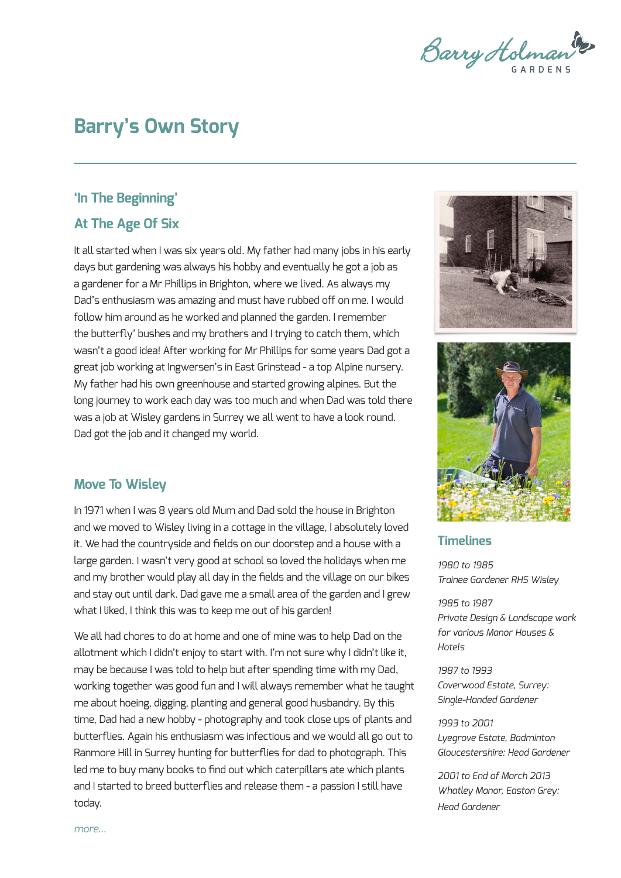Barry Holman<sup>ts</sup>

# **Barry's Own Story**

### **'In The Beginning' At The Age Of Six**

It all started when I was six years old. My father had many jobs in his early days but gardening was always his hobby and eventually he got a job as a gardener for a Mr Phillips in Brighton, where we lived. As always my Dad's enthusiasm was amazing and must have rubbed off on me. I would follow him around as he worked and planned the garden. I remember the butterfly' bushes and my brothers and I trying to catch them, which wasn't a good idea! After working for Mr Phillips for some years Dad got a great job working at Ingwersen's in East Grinstead - a top Alpine nursery. My father had his own greenhouse and started growing alpines. But the long journey to work each day was too much and when Dad was told there was a job at Wisley gardens in Surrey we all went to have a look round. Dad got the job and it changed my world.

#### **Move To Wisley**

In 1971 when I was 8 years old Mum and Dad sold the house in Brighton and we moved to Wisley living in a cottage in the village, I absolutely loved it. We had the countryside and fields on our doorstep and a house with a large garden. I wasn't very good at school so loved the holidays when me and my brother would play all day in the fields and the village on our bikes and stay out until dark. Dad gave me a small area of the garden and I grew what I liked, I think this was to keep me out of his garden!

We all had chores to do at home and one of mine was to help Dad on the allotment which I didn't enjoy to start with. I'm not sure why I didn't like it, may be because I was told to help but after spending time with my Dad, working together was good fun and I will always remember what he taught me about hoeing, digging, planting and general good husbandry. By this time, Dad had a new hobby - photography and took close ups of plants and butterflies. Again his enthusiasm was infectious and we would all go out to Ranmore Hill in Surrey hunting for butterflies for dad to photograph. This led me to buy many books to find out which caterpillars ate which plants and I started to breed butterflies and release them - a passion I still have today.





#### **Timelines**

*1980 to 1985 Trainee Gardener RHS Wisley*

*1985 to 1987 Private Design & Landscape work for various Manor Houses & Hotels*

*1987 to 1993 Coverwood Estate, Surrey: Single-Handed Gardener*

*1993 to 2001 Lyegrove Estate, Badminton Gloucestershire: Head Gardener* 

*2001 to End of March 2013 Whatley Manor, Easton Grey: Head Gardener*

*more...*